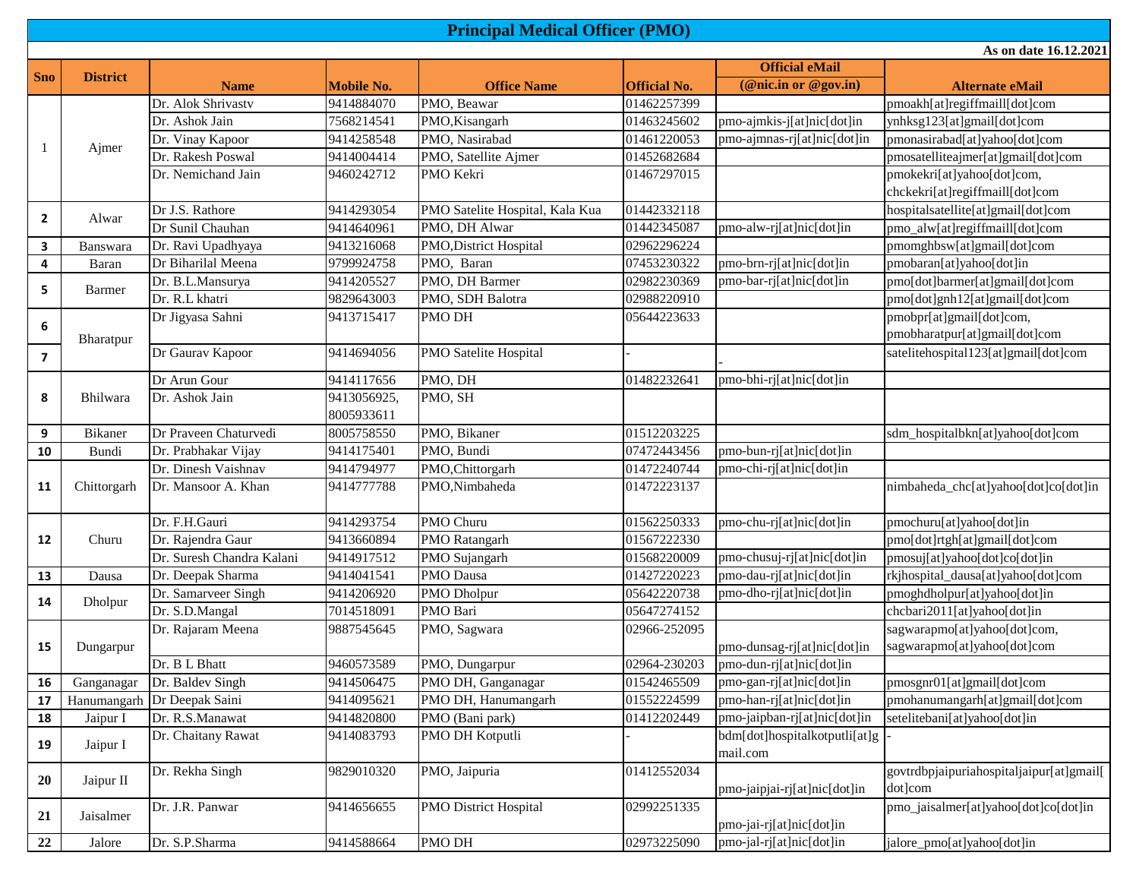## **Official eMail**  Name **Mobile No. office Name Official No.** *Official No.* **<b>***Official No. Official No.* *Alternate eMail* Dr. Alok Shrivastv 9414884070 PMO, Beawar 01462257399 pmoakh[at]regiffmaill[dot]com Dr. Ashok Jain 7568214541 PMO, Kisangarh 01463245602 pmo-ajmkis-j[at]nic[dot]in ynhksg123[at]gmail[dot]com Dr. Vinay Kapoor 9414258548 PMO, Nasirabad 01461220053 pmo-ajmnas-rj[at]nic[dot]in pmonasirabad[at]yahoo[dot]com Dr. Rakesh Poswal 9414004414 PMO, Satellite Ajmer 01452682684 pmosatelliteajmer[at]gmail[dot]com Dr. Nemichand Jain 9460242712 PMO Kekri 01467297015 pmokekri[at]yahoo[dot]com, chckekri[at]regiffmaill[dot]com Dr J.S. Rathore 9414293054 PMO Satelite Hospital, Kala Kua 01442332118 hospitalsatellite[at]gmail[dot]com Dr Sunil Chauhan 9414640961 PMO, DH Alwar 01442345087 pmo-alw-rj[at]nic[dot]in pmo\_alw[at]regiffmaill[dot]com **3** Banswara Dr. Ravi Upadhyaya 9413216068 PMO,District Hospital 02962296224 pmomghbsw[at]gmail[dot]com **4** Baran Dr Biharilal Meena 9799924758 PMO, Baran 07453230322 pmo-brn-rj[at]nic[dot]in pmobaran[at]yahoo[dot]in Dr. B.L.Mansurya 9414205527 PMO, DH Barmer 02982230369 pmo-bar-rj[at]nic[dot]in pmo[dot]barmer[at]gmail[dot]com Dr. R.L khatri 9829643003 PMO, SDH Balotra 02988220910 pmo[dot]gnh12[at]gmail[dot]com **6** Dr Jigyasa Sahni 9413715417 PMO DH 05644223633 pmobpr[at]gmail[dot]com, pmobharatpur[at]gmail[dot]com **7** Dr Gaurav Kapoor 9414694056 PMO Satelite Hospital satelitehospital123[at]gmail[dot]com Dr Arun Gour 9414117656 PMO, DH 01482232641 pmo-bhi-rj[at]nic[dot]in Dr. Ashok Jain 9413056925, 8005933611 PMO, SH **9** Bikaner Dr Praveen Chaturvedi 8005758550 PMO, Bikaner 01512203225 sdm\_hospitalbkn[at]yahoo[dot]com **10** Bundi Dr. Prabhakar Vijay 9414175401 PMO, Bundi 07472443456 pmo-bun-rj[at]nic[dot]in Dr. Dinesh Vaishnav 9414794977 PMO,Chittorgarh 01472240744 pmo-chi-rj[at]nic[dot]in Dr. Mansoor A. Khan 9414777788 PMO,Nimbaheda 01472223137 nimbaheda 016 nimbaheda\_chc[at]yahoo[dot]co[dot]in Bharatpur **8** Bhilwara **11** Chittorgarh 1 Ajmer **2** Alwar **5** Barmer **Principal Medical Officer (PMO) As on date 16.12.2021 Sno District**

|    |             | і правити з разніца і     | <b>9414/949//</b> | r MO,CHILLOI gaill           | 01472240744  | $\mu$ pino-cin-r $\mu$ at $\mu$ nc $\mu$ ot $\mu$ n |                                          |
|----|-------------|---------------------------|-------------------|------------------------------|--------------|-----------------------------------------------------|------------------------------------------|
| 11 | Chittorgarh | Dr. Mansoor A. Khan       | 9414777788        | PMO,Nimbaheda                | 01472223137  |                                                     | nimbaheda_chc[at]yahoo[dot]co[dot]in     |
|    |             | Dr. F.H.Gauri             | 9414293754        | <b>PMO Churu</b>             | 01562250333  | pmo-chu-rj[at]nic[dot]in                            | pmochuru[at]yahoo[dot]in                 |
| 12 | Churu       | Dr. Rajendra Gaur         | 9413660894        | PMO Ratangarh                | 01567222330  |                                                     | pmo[dot]rtgh[at]gmail[dot]com            |
|    |             | Dr. Suresh Chandra Kalani | 9414917512        | PMO Sujangarh                | 01568220009  | pmo-chusuj-rj[at]nic[dot]in                         | pmosuj[at]yahoo[dot]co[dot]in            |
| 13 | Dausa       | Dr. Deepak Sharma         | 9414041541        | <b>PMO</b> Dausa             | 01427220223  | pmo-dau-rj[at]nic[dot]in                            | rkjhospital_dausa[at]yahoo[dot]com       |
| 14 | Dholpur     | Dr. Samarveer Singh       | 9414206920        | PMO Dholpur                  | 05642220738  | pmo-dho-rj[at]nic[dot]in                            | pmoghdholpur[at]yahoo[dot]in             |
|    |             | Dr. S.D.Mangal            | 7014518091        | PMO Bari                     | 05647274152  |                                                     | chcbari2011[at]yahoo[dot]in              |
|    |             | Dr. Rajaram Meena         | 9887545645        | PMO, Sagwara                 | 02966-252095 |                                                     | sagwarapmo[at]yahoo[dot]com,             |
| 15 | Dungarpur   |                           |                   |                              |              | pmo-dunsag-rj[at]nic[dot]in                         | sagwarapmo[at]yahoo[dot]com              |
|    |             | Dr. B L Bhatt             | 9460573589        | PMO, Dungarpur               | 02964-230203 | pmo-dun-rj[at]nic[dot]in                            |                                          |
| 16 | Ganganagar  | Dr. Baldev Singh          | 9414506475        | PMO DH, Ganganagar           | 01542465509  | pmo-gan-rj[at]nic[dot]in                            | pmosgnr01[at]gmail[dot]com               |
| 17 | Hanumangarh | Dr Deepak Saini           | 9414095621        | PMO DH, Hanumangarh          | 01552224599  | pmo-han-rj[at]nic[dot]in                            | pmohanumangarh[at]gmail[dot]com          |
| 18 | Jaipur I    | Dr. R.S.Manawat           | 9414820800        | PMO (Bani park)              | 01412202449  | pmo-jaipban-rj[at]nic[dot]in                        | setelitebani[at]yahoo[dot]in             |
| 19 | Jaipur I    | Dr. Chaitany Rawat        | 9414083793        | PMO DH Kotputli              |              | bdm[dot]hospitalkotputli[at]g                       |                                          |
|    |             |                           |                   |                              |              | mail.com                                            |                                          |
| 20 | Jaipur II   | Dr. Rekha Singh           | 9829010320        | PMO, Jaipuria                | 01412552034  |                                                     | govtrdbpjaipuriahospitaljaipur[at]gmail[ |
|    |             |                           |                   |                              |              | pmo-jaipjai-rj[at]nic[dot]in                        | dotlcom                                  |
| 21 | Jaisalmer   | Dr. J.R. Panwar           | 9414656655        | <b>PMO District Hospital</b> | 02992251335  |                                                     | pmo_jaisalmer[at]yahoo[dot]co[dot]in     |
|    |             |                           |                   |                              |              | pmo-jai-rj[at]nic[dot]in                            |                                          |
| 22 | Jalore      | Dr. S.P.Sharma            | 9414588664        | PMO DH                       | 02973225090  | pmo-jal-rj[at]nic[dot]in                            | jalore_pmo[at]yahoo[dot]in               |
|    |             |                           |                   |                              |              |                                                     |                                          |